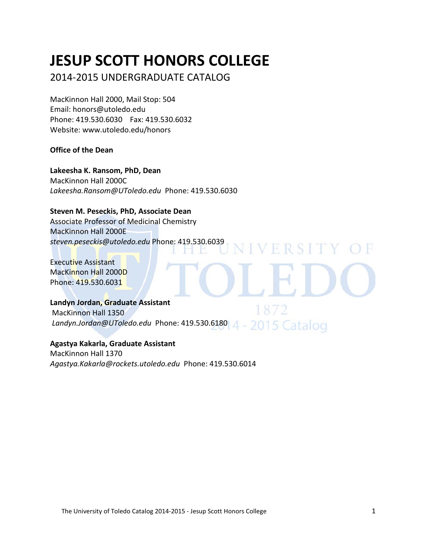# **JESUP SCOTT HONORS COLLEGE**

# 2014-2015 UNDERGRADUATE CATALOG

MacKinnon Hall 2000, Mail Stop: 504 Email: honors@utoledo.edu Phone: 419.530.6030 Fax: 419.530.6032 Website: www.utoledo.edu/honors

# **Office of the Dean**

# **Lakeesha K. Ransom, PhD, Dean**

MacKinnon Hall 2000C *Lakeesha.Ransom@UToledo.edu* Phone: 419.530.6030

# **Steven M. Peseckis, PhD, Associate Dean**

Associate Professor of Medicinal Chemistry MacKinnon Hall 2000E *steven.peseckis@utoledo.edu* Phone: 419.530.6039

# Executive Assistant MacKinnon Hall 2000D Phone: 419.530.6031

# **Landyn Jordan, Graduate Assistant**

1872 MacKinnon Hall 1350 *Landyn.Jordan@UToledo.edu* Phone: 419.530.6180

**NIVERSITY** 

# **Agastya Kakarla, Graduate Assistant** MacKinnon Hall 1370 *Agastya.Kakarla@rockets.utoledo.edu* Phone: 419.530.6014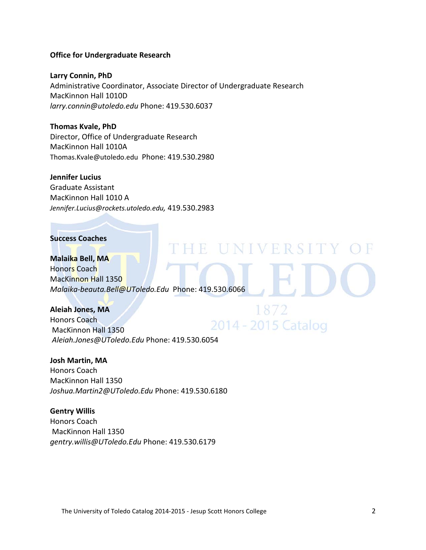#### **Office for Undergraduate Research**

**Larry Connin, PhD** Administrative Coordinator, Associate Director of Undergraduate Research MacKinnon Hall 1010D *larry.connin@utoledo.edu* Phone: 419.530.6037

**Thomas Kvale, PhD** Director, Office of Undergraduate Research MacKinnon Hall 1010A [Thomas.Kvale@utoledo.edu](mailto:Thomas.Kvale@utoledo.edu) Phone: 419.530.2980

#### **Jennifer Lucius**

Graduate Assistant MacKinnon Hall 1010 A *[Jennifer.Lucius@rockets.utoledo.edu,](mailto:Jennifer.Lucius@rockets.utoledo.edu)* 419.530.2983

# **Success Coaches**

**Malaika Bell, MA** Honors Coach MacKinnon Hall 1350 *Malaika-beauta.Bell@UToledo.Edu* Phone: 419.530.6066

E UNIVERSITY

1872

#### **Aleiah Jones, MA**

Honors Coach 2014 - 2015 Catalog MacKinnon Hall 1350 *Aleiah.Jones@UToledo.Edu* Phone: 419.530.6054

## **Josh Martin, MA**

Honors Coach MacKinnon Hall 1350 *Joshua.Martin2@UToledo.Edu* Phone: 419.530.6180

**Gentry Willis** Honors Coach MacKinnon Hall 1350 *gentry.willis@UToledo.Edu* Phone: 419.530.6179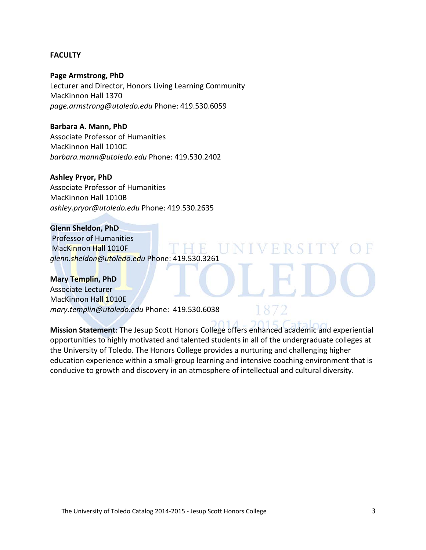#### **FACULTY**

**Page Armstrong, PhD** Lecturer and Director, Honors Living Learning Community MacKinnon Hall 1370 *page.armstrong@utoledo.edu* Phone: 419.530.6059

**Barbara A. Mann, PhD** Associate Professor of Humanities MacKinnon Hall 1010C *barbara.mann@utoledo.edu* Phone: 419.530.2402

#### **Ashley Pryor, PhD**

Associate Professor of Humanities MacKinnon Hall 1010B *ashley.pryor@utoledo.edu* Phone: 419.530.2635

# **Glenn Sheldon, PhD**

Professor of Humanities MacKinnon Hall 1010F  $-1$ *glenn.sheldon@utoledo.edu* Phone: 419.530.3261

**Mary Templin, PhD** Associate Lecturer MacKinnon Hall 1010E *mary.templin@utoledo.edu* Phone: 419.530.6038

**Mission Statement**: The Jesup Scott Honors College offers enhanced academic and experiential opportunities to highly motivated and talented students in all of the undergraduate colleges at the University of Toledo. The Honors College provides a nurturing and challenging higher education experience within a small-group learning and intensive coaching environment that is conducive to growth and discovery in an atmosphere of intellectual and cultural diversity.

V H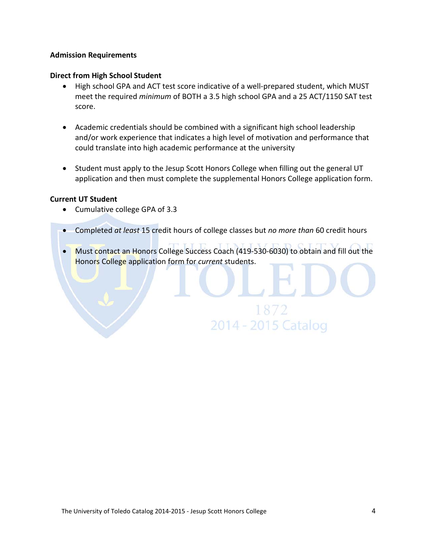# **Admission Requirements**

#### **Direct from High School Student**

- High school GPA and ACT test score indicative of a well-prepared student, which MUST meet the required *minimum* of BOTH a 3.5 high school GPA and a 25 ACT/1150 SAT test score.
- Academic credentials should be combined with a significant high school leadership and/or work experience that indicates a high level of motivation and performance that could translate into high academic performance at the university
- Student must apply to the Jesup Scott Honors College when filling out the general UT application and then must complete the supplemental Honors College application form.

#### **Current UT Student**

- Cumulative college GPA of 3.3
- Completed *at least* 15 credit hours of college classes but *no more than* 60 credit hours
- Must contact an Honors College Success Coach (419-530-6030) to obtain and fill out the Honors College application form for *current* students.

1872

2014 - 2015 Catalog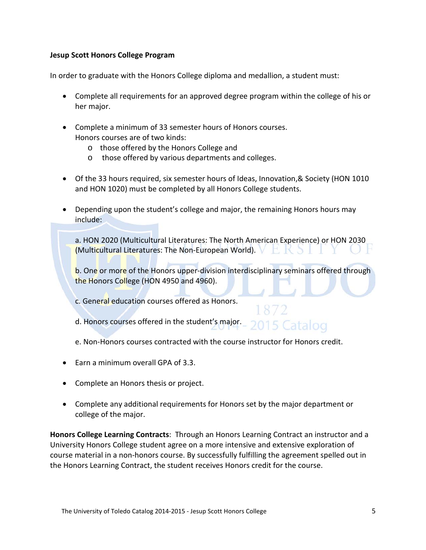# **Jesup Scott Honors College Program**

In order to graduate with the Honors College diploma and medallion, a student must:

- Complete all requirements for an approved degree program within the college of his or her major.
- Complete a minimum of 33 semester hours of Honors courses. Honors courses are of two kinds:
	- o those offered by the Honors College and
	- o those offered by various departments and colleges.
- Of the 33 hours required, six semester hours of Ideas, Innovation, & Society (HON 1010 and HON 1020) must be completed by all Honors College students.
- Depending upon the student's college and major, the remaining Honors hours may include:

a. HON 2020 (Multicultural Literatures: The North American Experience) or HON 2030 (Multicultural Literatures: The Non-European World).

b. One or more of the Honors upper-division interdisciplinary seminars offered through the Honors College (HON 4950 and 4960).

c. General education courses offered as Honors.

- d. Honors courses offered in the student's major. 5 Catalog
- e. Non-Honors courses contracted with the course instructor for Honors credit.
- Earn a minimum overall GPA of 3.3.
- Complete an Honors thesis or project.
- Complete any additional requirements for Honors set by the major department or college of the major.

**Honors College Learning Contracts**: Through an Honors Learning Contract an instructor and a University Honors College student agree on a more intensive and extensive exploration of course material in a non-honors course. By successfully fulfilling the agreement spelled out in the Honors Learning Contract, the student receives Honors credit for the course.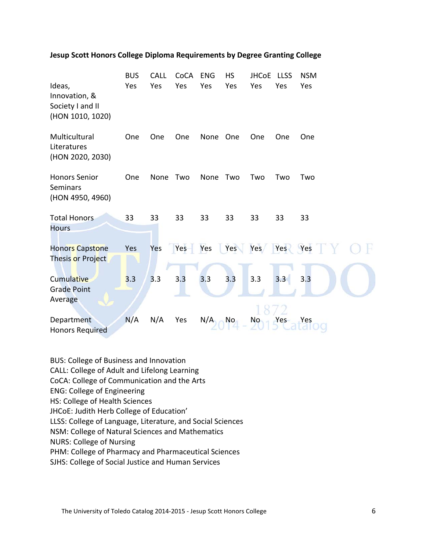|                                                                 | <b>BUS</b><br>Yes | <b>CALL</b><br>Yes | CoCA<br>Yes | <b>ENG</b><br>Yes | <b>HS</b><br>Yes | <b>JHCoE</b><br>Yes | <b>LLSS</b><br>Yes | <b>NSM</b><br>Yes |
|-----------------------------------------------------------------|-------------------|--------------------|-------------|-------------------|------------------|---------------------|--------------------|-------------------|
| Ideas,<br>Innovation, &<br>Society I and II<br>(HON 1010, 1020) |                   |                    |             |                   |                  |                     |                    |                   |
| Multicultural<br>Literatures<br>(HON 2020, 2030)                | One               | One                | One         | None              | One              | One                 | One                | One               |
| <b>Honors Senior</b><br><b>Seminars</b><br>(HON 4950, 4960)     | One               | None               | Two         | None              | Two              | Two                 | Two                | Two               |
| <b>Total Honors</b><br><b>Hours</b>                             | 33                | 33                 | 33          | 33                | 33               | 33                  | 33                 | 33                |
| <b>Honors Capstone</b><br>Thesis or Project                     | Yes               | Yes                | Yes         | Yes               | Yes              | Yes/                | Yes                | Yes               |
| <b>Cumulative</b><br><b>Grade Point</b><br>Average              | 3.3               | 3.3                | 3.3         | 3.3               | 3.3              | 3.3                 | 3.3                | 3.3               |
| Department<br><b>Honors Required</b>                            | N/A               | N/A                | Yes         | N/A               | N <sub>o</sub>   | No.                 | Yes                | Yes               |

#### **Jesup Scott Honors College Diploma Requirements by Degree Granting College**

BUS: College of Business and Innovation CALL: College of Adult and Lifelong Learning CoCA: College of Communication and the Arts ENG: College of Engineering HS: College of Health Sciences JHCoE: Judith Herb College of Education' LLSS: College of Language, Literature, and Social Sciences NSM: College of Natural Sciences and Mathematics NURS: College of Nursing PHM: College of Pharmacy and Pharmaceutical Sciences SJHS: College of Social Justice and Human Services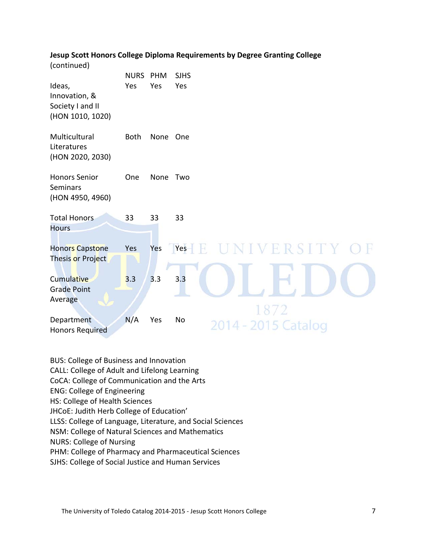# **Jesup Scott Honors College Diploma Requirements by Degree Granting College**

|                                                                 | <b>NURS</b> | PHM  | <b>SJHS</b> |                     |      |       |  |
|-----------------------------------------------------------------|-------------|------|-------------|---------------------|------|-------|--|
| Ideas,<br>Innovation, &<br>Society I and II<br>(HON 1010, 1020) | Yes         | Yes  | Yes         |                     |      |       |  |
| Multicultural<br>Literatures<br>(HON 2020, 2030)                | <b>Both</b> | None | One         |                     |      |       |  |
| <b>Honors Senior</b><br><b>Seminars</b><br>(HON 4950, 4960)     | One         | None | Two         |                     |      |       |  |
| <b>Total Honors</b><br><b>Hours</b>                             | 33          | 33   | 33          |                     |      |       |  |
| <b>Honors Capstone</b><br>Thesis or Project                     | Yes         | Yes  | Yes         |                     |      | ERSIT |  |
| <b>Cumulative</b><br><b>Grade Point</b><br>Average              | 3.3         | 3.3  | 3.3         |                     | 1872 |       |  |
| Department<br><b>Honors Required</b>                            | N/A         | Yes  | No          | 2014 - 2015 Catalog |      |       |  |

BUS: College of Business and Innovation CALL: College of Adult and Lifelong Learning CoCA: College of Communication and the Arts ENG: College of Engineering HS: College of Health Sciences JHCoE: Judith Herb College of Education' LLSS: College of Language, Literature, and Social Sciences NSM: College of Natural Sciences and Mathematics NURS: College of Nursing PHM: College of Pharmacy and Pharmaceutical Sciences SJHS: College of Social Justice and Human Services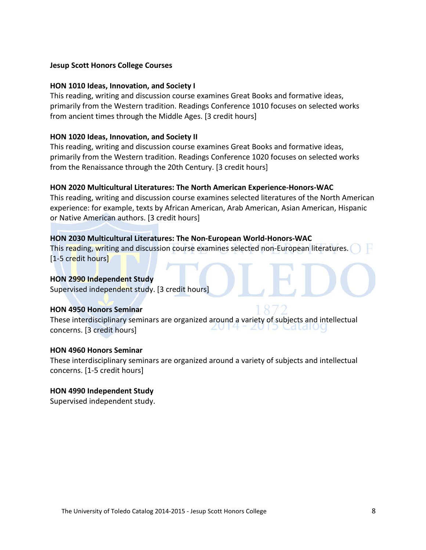#### **Jesup Scott Honors College Courses**

#### **HON 1010 Ideas, Innovation, and Society I**

This reading, writing and discussion course examines Great Books and formative ideas, primarily from the Western tradition. Readings Conference 1010 focuses on selected works from ancient times through the Middle Ages. [3 credit hours]

#### **HON 1020 Ideas, Innovation, and Society II**

This reading, writing and discussion course examines Great Books and formative ideas, primarily from the Western tradition. Readings Conference 1020 focuses on selected works from the Renaissance through the 20th Century. [3 credit hours]

# **HON 2020 Multicultural Literatures: The North American Experience-Honors-WAC**

This reading, writing and discussion course examines selected literatures of the North American experience: for example, texts by African American, Arab American, Asian American, Hispanic or Native American authors. [3 credit hours]

#### **HON 2030 Multicultural Literatures: The Non-European World-Honors-WAC**

This reading, writing and discussion course examines selected non-European literatures. [1-5 credit hours]

#### **HON 2990 Independent Study**

Supervised independent study. [3 credit hours]

#### **HON 4950 Honors Seminar**

These interdisciplinary seminars are organized around a variety of subjects and intellectual concerns. [3 credit hours]

#### **HON 4960 Honors Seminar**

These interdisciplinary seminars are organized around a variety of subjects and intellectual concerns. [1-5 credit hours]

# **HON 4990 Independent Study**

Supervised independent study.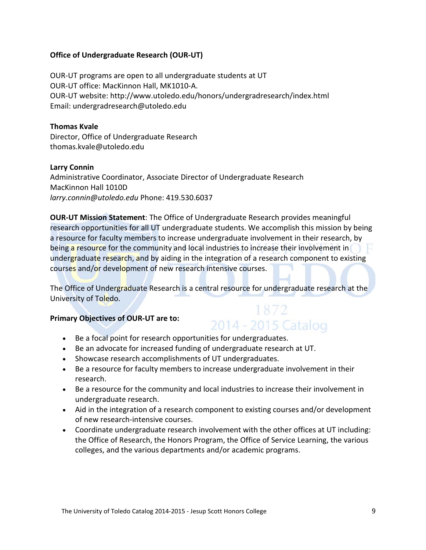# **Office of Undergraduate Research (OUR-UT)**

OUR-UT programs are open to all undergraduate students at UT OUR-UT office: MacKinnon Hall, MK1010-A. OUR-UT website: http://www.utoledo.edu/honors/undergradresearch/index.html Email: undergradresearch@utoledo.edu

# **Thomas Kvale**

Director, Office of Undergraduate Research thomas.kvale@utoledo.edu

# **Larry Connin**

Administrative Coordinator, Associate Director of Undergraduate Research MacKinnon Hall 1010D *larry.connin@utoledo.edu* Phone: 419.530.6037

**OUR-UT Mission Statement**: The Office of Undergraduate Research provides meaningful research opportunities for all UT undergraduate students. We accomplish this mission by being a resource for faculty members to increase undergraduate involvement in their research, by being a resource for the community and local industries to increase their involvement in undergraduate research, and by aiding in the integration of a research component to existing courses and/or development of new research intensive courses.

The Office of Undergraduate Research is a central resource for undergraduate research at the University of Toledo.

# **Primary Objectives of OUR-UT are to:**

# 1872 2014 - 2015 Catalog

- Be a focal point for research opportunities for undergraduates.
- Be an advocate for increased funding of undergraduate research at UT.
- Showcase research accomplishments of UT undergraduates.
- Be a resource for faculty members to increase undergraduate involvement in their research.
- Be a resource for the community and local industries to increase their involvement in undergraduate research.
- Aid in the integration of a research component to existing courses and/or development of new research-intensive courses.
- Coordinate undergraduate research involvement with the other offices at UT including: the Office of Research, the Honors Program, the Office of Service Learning, the various colleges, and the various departments and/or academic programs.